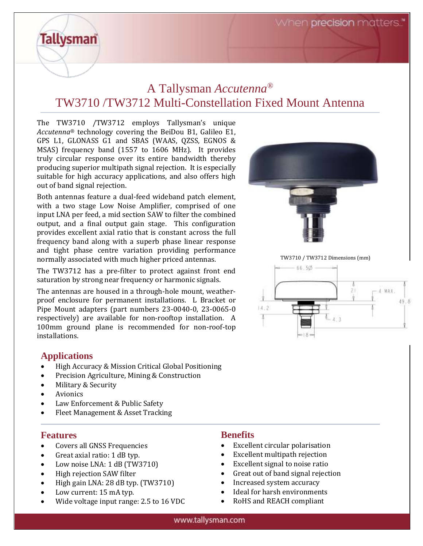When precision matters.

# A Tallysman *Accutenna®* TW3710 /TW3712 Multi-Constellation Fixed Mount Antenna

The TW3710 /TW3712 employs Tallysman's unique *Accutenna®* technology covering the BeiDou B1, Galileo E1, GPS L1, GLONASS G1 and SBAS (WAAS, QZSS, EGNOS & MSAS) frequency band (1557 to 1606 MHz). It provides truly circular response over its entire bandwidth thereby producing superior multipath signal rejection. It is especially suitable for high accuracy applications, and also offers high out of band signal rejection.

Both antennas feature a dual-feed wideband patch element, with a two stage Low Noise Amplifier, comprised of one input LNA per feed, a mid section SAW to filter the combined output, and a final output gain stage. This configuration provides excellent axial ratio that is constant across the full frequency band along with a superb phase linear response and tight phase centre variation providing performance normally associated with much higher priced antennas.

The TW3712 has a pre-filter to protect against front end saturation by strong near frequency or harmonic signals.

The antennas are housed in a through-hole mount, weatherproof enclosure for permanent installations. L Bracket or Pipe Mount adapters (part numbers 23-0040-0, 23-0065-0 respectively) are available for non-rooftop installation. A 100mm ground plane is recommended for non-roof-top installations.

# **Applications**

**Tallysman** 

- High Accuracy & Mission Critical Global Positioning
- Precision Agriculture, Mining & Construction
- Military & Security
- **Avionics**
- Law Enforcement & Public Safety
- Fleet Management & Asset Tracking

#### **Features**

- Covers all GNSS Frequencies
- Great axial ratio: 1 dB typ.
- Low noise LNA: 1 dB (TW3710)
- High rejection SAW filter
- High gain LNA: 28 dB typ. (TW3710)
- Low current: 15 mA typ.

• IP67 weather proof housing

• Wide voltage input range: 2.5 to 16 VDC



TW3710 / TW3712 Dimensions (mm)



# **Benefits**

- Excellent circular polarisation
- Excellent multipath rejection
- Excellent signal to noise ratio
- Great out of band signal rejection
- Increased system accuracy
- Ideal for harsh environments
- RoHS and REACH compliant